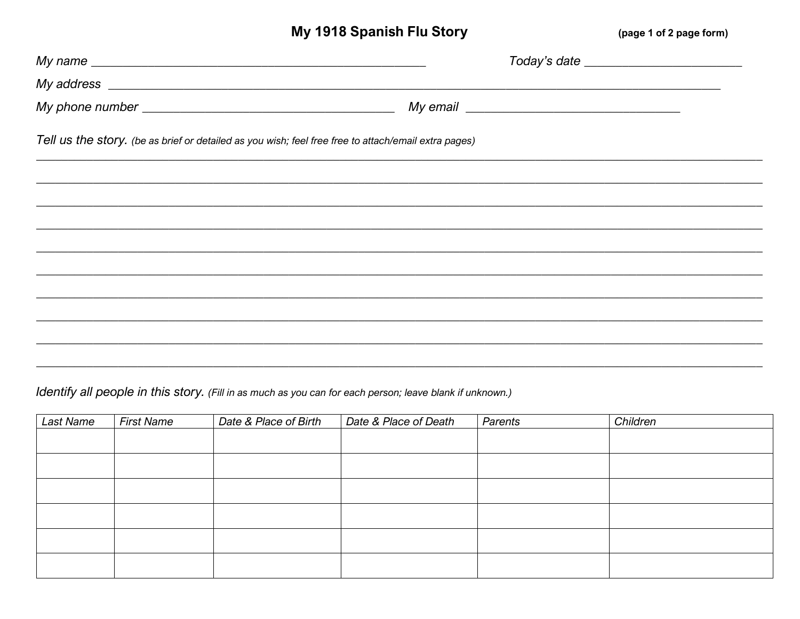## My 1918 Spanish Flu Story

(page 1 of 2 page form)

| My name $\overline{\phantom{a}}$                                                                                                                                                                                                     |                                                                                                                                                                                                                                     |  |
|--------------------------------------------------------------------------------------------------------------------------------------------------------------------------------------------------------------------------------------|-------------------------------------------------------------------------------------------------------------------------------------------------------------------------------------------------------------------------------------|--|
| My address <u>example and the set of the set of the set of the set of the set of the set of the set of the set of the set of the set of the set of the set of the set of the set of the set of the set of the set of the set of </u> |                                                                                                                                                                                                                                     |  |
|                                                                                                                                                                                                                                      | My email <u>example</u> and the mail of the mail of the mail of the mail of the mail of the mail of the mail of the mail of the mail of the mail of the mail of the mail of the mail of the mail of the mail of the mail of the mai |  |
| Tell us the story. (be as brief or detailed as you wish; feel free free to attach/email extra pages)                                                                                                                                 |                                                                                                                                                                                                                                     |  |
|                                                                                                                                                                                                                                      |                                                                                                                                                                                                                                     |  |
|                                                                                                                                                                                                                                      |                                                                                                                                                                                                                                     |  |
|                                                                                                                                                                                                                                      |                                                                                                                                                                                                                                     |  |
|                                                                                                                                                                                                                                      |                                                                                                                                                                                                                                     |  |
|                                                                                                                                                                                                                                      |                                                                                                                                                                                                                                     |  |
|                                                                                                                                                                                                                                      |                                                                                                                                                                                                                                     |  |
|                                                                                                                                                                                                                                      |                                                                                                                                                                                                                                     |  |
|                                                                                                                                                                                                                                      |                                                                                                                                                                                                                                     |  |
|                                                                                                                                                                                                                                      |                                                                                                                                                                                                                                     |  |

Identify all people in this story. (Fill in as much as you can for each person; leave blank if unknown.)

| <b>Last Name</b> | <b>First Name</b> | Date & Place of Birth | Date & Place of Death | Parents | Children |
|------------------|-------------------|-----------------------|-----------------------|---------|----------|
|                  |                   |                       |                       |         |          |
|                  |                   |                       |                       |         |          |
|                  |                   |                       |                       |         |          |
|                  |                   |                       |                       |         |          |
|                  |                   |                       |                       |         |          |
|                  |                   |                       |                       |         |          |
|                  |                   |                       |                       |         |          |
|                  |                   |                       |                       |         |          |
|                  |                   |                       |                       |         |          |
|                  |                   |                       |                       |         |          |
|                  |                   |                       |                       |         |          |
|                  |                   |                       |                       |         |          |